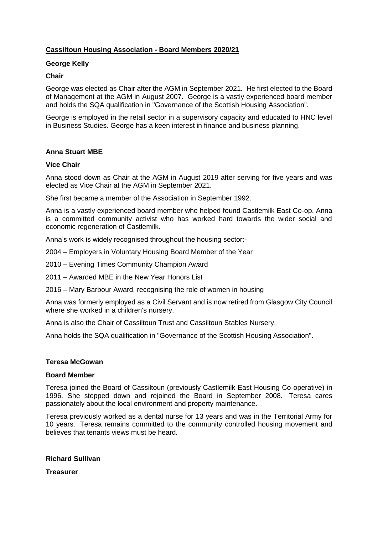# **Cassiltoun Housing Association - Board Members 2020/21**

## **George Kelly**

## **Chair**

George was elected as Chair after the AGM in September 2021. He first elected to the Board of Management at the AGM in August 2007. George is a vastly experienced board member and holds the SQA qualification in "Governance of the Scottish Housing Association".

George is employed in the retail sector in a supervisory capacity and educated to HNC level in Business Studies. George has a keen interest in finance and business planning.

## **Anna Stuart MBE**

## **Vice Chair**

Anna stood down as Chair at the AGM in August 2019 after serving for five years and was elected as Vice Chair at the AGM in September 2021.

She first became a member of the Association in September 1992.

Anna is a vastly experienced board member who helped found Castlemilk East Co-op. Anna is a committed community activist who has worked hard towards the wider social and economic regeneration of Castlemilk.

Anna's work is widely recognised throughout the housing sector:-

- 2004 Employers in Voluntary Housing Board Member of the Year
- 2010 Evening Times Community Champion Award
- 2011 Awarded MBE in the New Year Honors List
- 2016 Mary Barbour Award, recognising the role of women in housing

Anna was formerly employed as a Civil Servant and is now retired from Glasgow City Council where she worked in a children's nursery.

Anna is also the Chair of Cassiltoun Trust and Cassiltoun Stables Nursery.

Anna holds the SQA qualification in "Governance of the Scottish Housing Association".

## **Teresa McGowan**

## **Board Member**

Teresa joined the Board of Cassiltoun (previously Castlemilk East Housing Co-operative) in 1996. She stepped down and rejoined the Board in September 2008. Teresa cares passionately about the local environment and property maintenance.

Teresa previously worked as a dental nurse for 13 years and was in the Territorial Army for 10 years. Teresa remains committed to the community controlled housing movement and believes that tenants views must be heard.

**Richard Sullivan**

**Treasurer**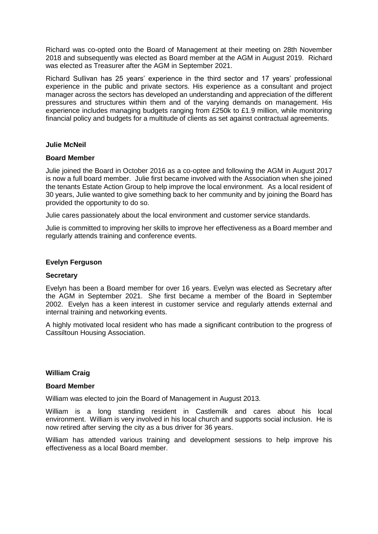Richard was co-opted onto the Board of Management at their meeting on 28th November 2018 and subsequently was elected as Board member at the AGM in August 2019. Richard was elected as Treasurer after the AGM in September 2021.

Richard Sullivan has 25 years' experience in the third sector and 17 years' professional experience in the public and private sectors. His experience as a consultant and project manager across the sectors has developed an understanding and appreciation of the different pressures and structures within them and of the varying demands on management. His experience includes managing budgets ranging from £250k to £1.9 million, while monitoring financial policy and budgets for a multitude of clients as set against contractual agreements.

## **Julie McNeil**

### **Board Member**

Julie joined the Board in October 2016 as a co-optee and following the AGM in August 2017 is now a full board member. Julie first became involved with the Association when she joined the tenants Estate Action Group to help improve the local environment. As a local resident of 30 years, Julie wanted to give something back to her community and by joining the Board has provided the opportunity to do so.

Julie cares passionately about the local environment and customer service standards.

Julie is committed to improving her skills to improve her effectiveness as a Board member and regularly attends training and conference events.

### **Evelyn Ferguson**

#### **Secretary**

Evelyn has been a Board member for over 16 years. Evelyn was elected as Secretary after the AGM in September 2021. She first became a member of the Board in September 2002. Evelyn has a keen interest in customer service and regularly attends external and internal training and networking events.

A highly motivated local resident who has made a significant contribution to the progress of Cassiltoun Housing Association.

## **William Craig**

#### **Board Member**

William was elected to join the Board of Management in August 2013.

William is a long standing resident in Castlemilk and cares about his local environment. William is very involved in his local church and supports social inclusion. He is now retired after serving the city as a bus driver for 36 years.

William has attended various training and development sessions to help improve his effectiveness as a local Board member.